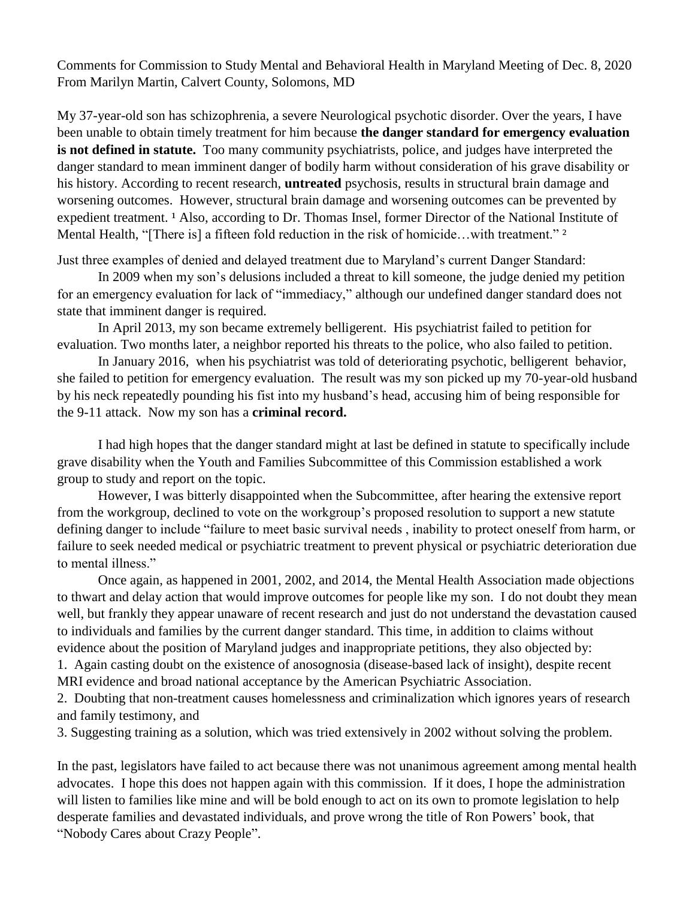Comments for Commission to Study Mental and Behavioral Health in Maryland Meeting of Dec. 8, 2020 From Marilyn Martin, Calvert County, Solomons, MD

My 37-year-old son has schizophrenia, a severe Neurological psychotic disorder. Over the years, I have been unable to obtain timely treatment for him because **the danger standard for emergency evaluation is not defined in statute.** Too many community psychiatrists, police, and judges have interpreted the danger standard to mean imminent danger of bodily harm without consideration of his grave disability or his history. According to recent research, **untreated** psychosis, results in structural brain damage and worsening outcomes. However, structural brain damage and worsening outcomes can be prevented by expedient treatment. <sup>1</sup> Also, according to Dr. Thomas Insel, former Director of the National Institute of Mental Health, "[There is] a fifteen fold reduction in the risk of homicide...with treatment." <sup>2</sup>

Just three examples of denied and delayed treatment due to Maryland's current Danger Standard:

In 2009 when my son's delusions included a threat to kill someone, the judge denied my petition for an emergency evaluation for lack of "immediacy," although our undefined danger standard does not state that imminent danger is required.

In April 2013, my son became extremely belligerent. His psychiatrist failed to petition for evaluation. Two months later, a neighbor reported his threats to the police, who also failed to petition.

In January 2016, when his psychiatrist was told of deteriorating psychotic, belligerent behavior, she failed to petition for emergency evaluation. The result was my son picked up my 70-year-old husband by his neck repeatedly pounding his fist into my husband's head, accusing him of being responsible for the 9-11 attack. Now my son has a **criminal record.**

I had high hopes that the danger standard might at last be defined in statute to specifically include grave disability when the Youth and Families Subcommittee of this Commission established a work group to study and report on the topic.

However, I was bitterly disappointed when the Subcommittee, after hearing the extensive report from the workgroup, declined to vote on the workgroup's proposed resolution to support a new statute defining danger to include "failure to meet basic survival needs , inability to protect oneself from harm, or failure to seek needed medical or psychiatric treatment to prevent physical or psychiatric deterioration due to mental illness."

Once again, as happened in 2001, 2002, and 2014, the Mental Health Association made objections to thwart and delay action that would improve outcomes for people like my son. I do not doubt they mean well, but frankly they appear unaware of recent research and just do not understand the devastation caused to individuals and families by the current danger standard. This time, in addition to claims without evidence about the position of Maryland judges and inappropriate petitions, they also objected by:

1. Again casting doubt on the existence of anosognosia (disease-based lack of insight), despite recent MRI evidence and broad national acceptance by the American Psychiatric Association.

2. Doubting that non-treatment causes homelessness and criminalization which ignores years of research and family testimony, and

3. Suggesting training as a solution, which was tried extensively in 2002 without solving the problem.

In the past, legislators have failed to act because there was not unanimous agreement among mental health advocates. I hope this does not happen again with this commission. If it does, I hope the administration will listen to families like mine and will be bold enough to act on its own to promote legislation to help desperate families and devastated individuals, and prove wrong the title of Ron Powers' book, that "Nobody Cares about Crazy People".